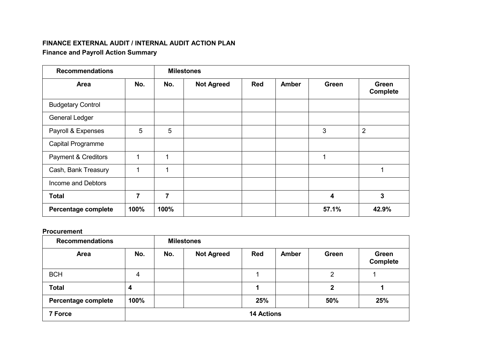### **FINANCE EXTERNAL AUDIT / INTERNAL AUDIT ACTION PLAN Finance and Payroll Action Summary**

| <b>Recommendations</b>         |                |                | <b>Milestones</b> |            |              |       |                          |
|--------------------------------|----------------|----------------|-------------------|------------|--------------|-------|--------------------------|
| Area                           | No.            | No.            | <b>Not Agreed</b> | <b>Red</b> | <b>Amber</b> | Green | Green<br><b>Complete</b> |
| <b>Budgetary Control</b>       |                |                |                   |            |              |       |                          |
| <b>General Ledger</b>          |                |                |                   |            |              |       |                          |
| Payroll & Expenses             | 5              | 5              |                   |            |              | 3     | $\overline{2}$           |
| Capital Programme              |                |                |                   |            |              |       |                          |
| <b>Payment &amp; Creditors</b> | 1              | 1              |                   |            |              | 1     |                          |
| Cash, Bank Treasury            | 1              | 1              |                   |            |              |       |                          |
| Income and Debtors             |                |                |                   |            |              |       |                          |
| <b>Total</b>                   | $\overline{7}$ | $\overline{7}$ |                   |            |              | 4     | 3                        |
| Percentage complete            | 100%           | 100%           |                   |            |              | 57.1% | 42.9%                    |

#### **Procurement**

| <b>Recommendations</b> |      |     | <b>Milestones</b> |                   |       |                |                          |
|------------------------|------|-----|-------------------|-------------------|-------|----------------|--------------------------|
| Area                   | No.  | No. | <b>Not Agreed</b> | <b>Red</b>        | Amber | Green          | Green<br><b>Complete</b> |
| <b>BCH</b>             | 4    |     |                   |                   |       | $\overline{2}$ |                          |
| <b>Total</b>           | 4    |     |                   |                   |       | 2              |                          |
| Percentage complete    | 100% |     |                   | 25%               |       | 50%            | 25%                      |
| 7 Force                |      |     |                   | <b>14 Actions</b> |       |                |                          |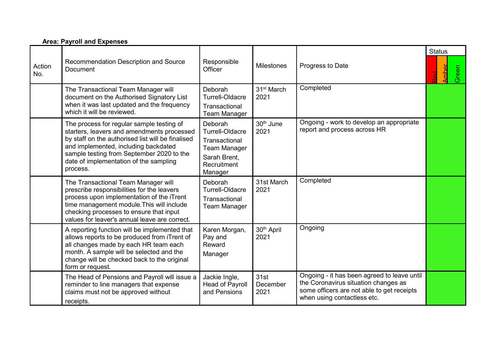#### **Area: Payroll and Expenses**

| Action<br>No. | Recommendation Description and Source<br><b>Document</b>                                                                                                                                                                                                                                | Responsible<br>Officer                                                                                              | <b>Milestones</b>              | Progress to Date                                                                                                                                                 | <b>Status</b><br><u>Amber</u><br>Green<br>ra<br>M |
|---------------|-----------------------------------------------------------------------------------------------------------------------------------------------------------------------------------------------------------------------------------------------------------------------------------------|---------------------------------------------------------------------------------------------------------------------|--------------------------------|------------------------------------------------------------------------------------------------------------------------------------------------------------------|---------------------------------------------------|
|               | The Transactional Team Manager will<br>document on the Authorised Signatory List<br>when it was last updated and the frequency<br>which it will be reviewed.                                                                                                                            | Deborah<br><b>Turrell-Oldacre</b><br>Transactional<br><b>Team Manager</b>                                           | 31 <sup>st</sup> March<br>2021 | Completed                                                                                                                                                        |                                                   |
|               | The process for regular sample testing of<br>starters, leavers and amendments processed<br>by staff on the authorised list will be finalised<br>and implemented, including backdated<br>sample testing from September 2020 to the<br>date of implementation of the sampling<br>process. | Deborah<br><b>Turrell-Oldacre</b><br>Transactional<br><b>Team Manager</b><br>Sarah Brent,<br>Recruitment<br>Manager | 30 <sup>th</sup> June<br>2021  | Ongoing - work to develop an appropriate<br>report and process across HR                                                                                         |                                                   |
|               | The Transactional Team Manager will<br>prescribe responsibilities for the leavers<br>process upon implementation of the iTrent<br>time management module. This will include<br>checking processes to ensure that input<br>values for leaver's annual leave are correct.                 | Deborah<br>Turrell-Oldacre<br>Transactional<br><b>Team Manager</b>                                                  | 31st March<br>2021             | Completed                                                                                                                                                        |                                                   |
|               | A reporting function will be implemented that<br>allows reports to be produced from iTrent of<br>all changes made by each HR team each<br>month. A sample will be selected and the<br>change will be checked back to the original<br>form or request.                                   | Karen Morgan,<br>Pay and<br>Reward<br>Manager                                                                       | 30 <sup>th</sup> April<br>2021 | Ongoing                                                                                                                                                          |                                                   |
|               | The Head of Pensions and Payroll will issue a<br>reminder to line managers that expense<br>claims must not be approved without<br>receipts.                                                                                                                                             | Jackie Ingle,<br>Head of Payroll<br>and Pensions                                                                    | 31st<br>December<br>2021       | Ongoing - it has been agreed to leave until<br>the Coronavirus situation changes as<br>some officers are not able to get receipts<br>when using contactless etc. |                                                   |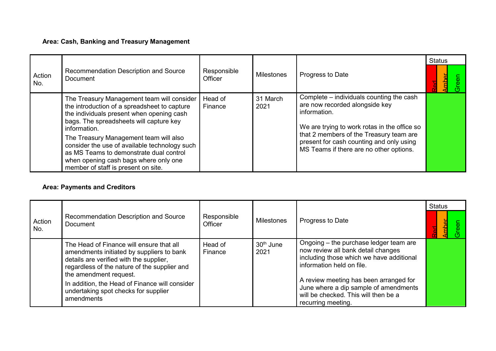# **Area: Cash, Banking and Treasury Management**

|               |                                                                                                                                                                                                                                                                                                                                                                                                                          |                        |                   |                                                                                                                                                                                                                                                                              | <b>Status</b> |
|---------------|--------------------------------------------------------------------------------------------------------------------------------------------------------------------------------------------------------------------------------------------------------------------------------------------------------------------------------------------------------------------------------------------------------------------------|------------------------|-------------------|------------------------------------------------------------------------------------------------------------------------------------------------------------------------------------------------------------------------------------------------------------------------------|---------------|
| Action<br>No. | Recommendation Description and Source<br>Document                                                                                                                                                                                                                                                                                                                                                                        | Responsible<br>Officer | <b>Milestones</b> | Progress to Date                                                                                                                                                                                                                                                             |               |
|               | The Treasury Management team will consider<br>the introduction of a spreadsheet to capture<br>the individuals present when opening cash<br>bags. The spreadsheets will capture key<br>information.<br>The Treasury Management team will also<br>consider the use of available technology such<br>as MS Teams to demonstrate dual control<br>when opening cash bags where only one<br>member of staff is present on site. | Head of<br>Finance     | 31 March<br>2021  | Complete – individuals counting the cash<br>are now recorded alongside key<br>information.<br>We are trying to work rotas in the office so<br>that 2 members of the Treasury team are<br>present for cash counting and only using<br>MS Teams if there are no other options. |               |

## **Area: Payments and Creditors**

|                 |                                                                                                                                                                                                                                                                                                                    |                        |                               |                                                                                                                                                                                                                                                                                                        | <b>Status</b> |
|-----------------|--------------------------------------------------------------------------------------------------------------------------------------------------------------------------------------------------------------------------------------------------------------------------------------------------------------------|------------------------|-------------------------------|--------------------------------------------------------------------------------------------------------------------------------------------------------------------------------------------------------------------------------------------------------------------------------------------------------|---------------|
| Action<br>l No. | Recommendation Description and Source<br>Document                                                                                                                                                                                                                                                                  | Responsible<br>Officer | <b>Milestones</b>             | Progress to Date                                                                                                                                                                                                                                                                                       |               |
|                 | The Head of Finance will ensure that all<br>amendments initiated by suppliers to bank<br>details are verified with the supplier,<br>regardless of the nature of the supplier and<br>the amendment request.<br>In addition, the Head of Finance will consider<br>undertaking spot checks for supplier<br>amendments | Head of<br>Finance     | 30 <sup>th</sup> June<br>2021 | Ongoing – the purchase ledger team are<br>now review all bank detail changes<br>including those which we have additional<br>information held on file.<br>A review meeting has been arranged for<br>June where a dip sample of amendments<br>will be checked. This will then be a<br>recurring meeting. |               |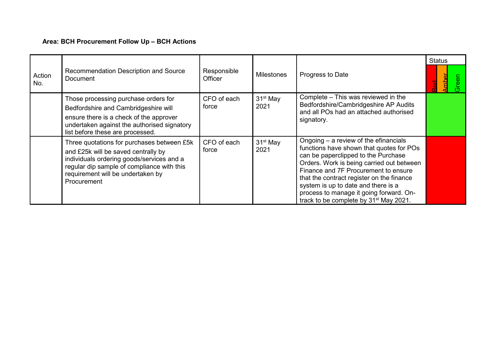## **Area: BCH Procurement Follow Up – BCH Actions**

|               |                                                                                                                                                                                                                                  |                               |                              |                                                                                                                                                                                                                                                                                                                                                                                                      | <b>Status</b> |
|---------------|----------------------------------------------------------------------------------------------------------------------------------------------------------------------------------------------------------------------------------|-------------------------------|------------------------------|------------------------------------------------------------------------------------------------------------------------------------------------------------------------------------------------------------------------------------------------------------------------------------------------------------------------------------------------------------------------------------------------------|---------------|
| Action<br>No. | Recommendation Description and Source<br><b>Document</b>                                                                                                                                                                         | Responsible<br><b>Officer</b> | <b>Milestones</b>            | Progress to Date                                                                                                                                                                                                                                                                                                                                                                                     | Œ.<br>Φ       |
|               | Those processing purchase orders for<br>Bedfordshire and Cambridgeshire will<br>ensure there is a check of the approver<br>undertaken against the authorised signatory<br>list before these are processed.                       | CFO of each<br>force          | 31 <sup>st</sup> May<br>2021 | Complete - This was reviewed in the<br>Bedfordshire/Cambridgeshire AP Audits<br>and all POs had an attached authorised<br>signatory.                                                                                                                                                                                                                                                                 |               |
|               | Three quotations for purchases between £5k<br>and £25k will be saved centrally by<br>individuals ordering goods/services and a<br>regular dip sample of compliance with this<br>requirement will be undertaken by<br>Procurement | CFO of each<br>force          | 31 <sup>st</sup> May<br>2021 | Ongoing $-$ a review of the efinancials<br>functions have shown that quotes for POs<br>can be paperclipped to the Purchase<br>Orders. Work is being carried out between<br>Finance and 7F Procurement to ensure<br>that the contract register on the finance<br>system is up to date and there is a<br>process to manage it going forward. On-<br>track to be complete by 31 <sup>st</sup> May 2021. |               |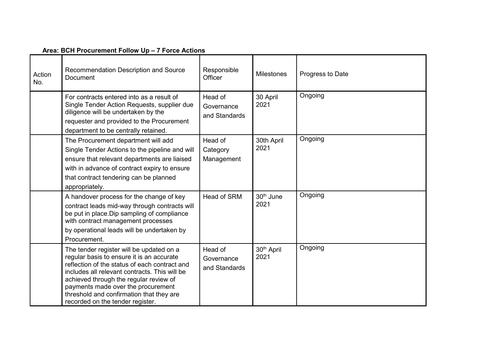#### **Area: BCH Procurement Follow Up – 7 Force Actions**

| Action<br>No. | Recommendation Description and Source<br>Document                                                                                                                                                                                                                                                                                                       | Responsible<br>Officer                 | <b>Milestones</b>              | Progress to Date |
|---------------|---------------------------------------------------------------------------------------------------------------------------------------------------------------------------------------------------------------------------------------------------------------------------------------------------------------------------------------------------------|----------------------------------------|--------------------------------|------------------|
|               | For contracts entered into as a result of<br>Single Tender Action Requests, supplier due<br>diligence will be undertaken by the<br>requester and provided to the Procurement<br>department to be centrally retained.                                                                                                                                    | Head of<br>Governance<br>and Standards | 30 April<br>2021               | Ongoing          |
|               | The Procurement department will add<br>Single Tender Actions to the pipeline and will<br>ensure that relevant departments are liaised<br>with in advance of contract expiry to ensure<br>that contract tendering can be planned<br>appropriately.                                                                                                       | Head of<br>Category<br>Management      | 30th April<br>2021             | Ongoing          |
|               | A handover process for the change of key<br>contract leads mid-way through contracts will<br>be put in place. Dip sampling of compliance<br>with contract management processes<br>by operational leads will be undertaken by<br>Procurement.                                                                                                            | <b>Head of SRM</b>                     | 30 <sup>th</sup> June<br>2021  | Ongoing          |
|               | The tender register will be updated on a<br>regular basis to ensure it is an accurate<br>reflection of the status of each contract and<br>includes all relevant contracts. This will be<br>achieved through the regular review of<br>payments made over the procurement<br>threshold and confirmation that they are<br>recorded on the tender register. | Head of<br>Governance<br>and Standards | 30 <sup>th</sup> April<br>2021 | Ongoing          |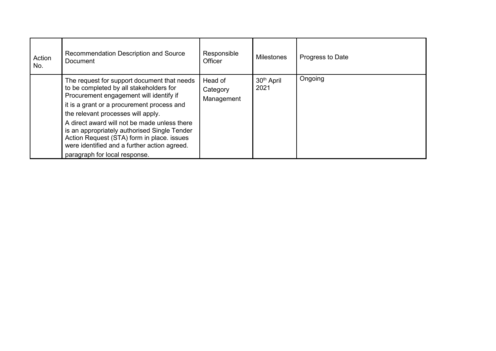| Action<br>No. | Recommendation Description and Source<br>Document                                                                                                                                                                                                                                                                                                                                                                                                    | Responsible<br><b>Officer</b>     | <b>Milestones</b>              | Progress to Date |
|---------------|------------------------------------------------------------------------------------------------------------------------------------------------------------------------------------------------------------------------------------------------------------------------------------------------------------------------------------------------------------------------------------------------------------------------------------------------------|-----------------------------------|--------------------------------|------------------|
|               | The request for support document that needs<br>to be completed by all stakeholders for<br>Procurement engagement will identify if<br>it is a grant or a procurement process and<br>the relevant processes will apply.<br>A direct award will not be made unless there<br>is an appropriately authorised Single Tender<br>Action Request (STA) form in place. issues<br>were identified and a further action agreed.<br>paragraph for local response. | Head of<br>Category<br>Management | 30 <sup>th</sup> April<br>2021 | Ongoing          |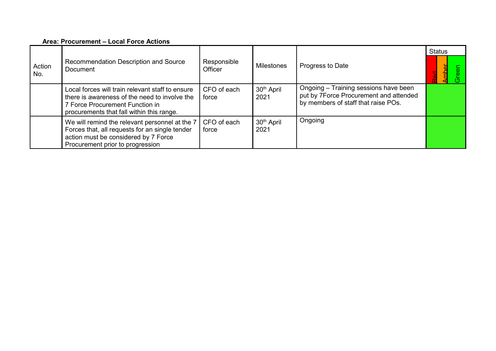#### **Area: Procurement – Local Force Actions**

|               |                                                                                                                                                                                   |                               |                                | <b>Status</b>                                                                                                          |  |
|---------------|-----------------------------------------------------------------------------------------------------------------------------------------------------------------------------------|-------------------------------|--------------------------------|------------------------------------------------------------------------------------------------------------------------|--|
| Action<br>No. | Recommendation Description and Source<br>Document                                                                                                                                 | Responsible<br><b>Officer</b> | <b>Milestones</b>              | Progress to Date                                                                                                       |  |
|               | Local forces will train relevant staff to ensure<br>there is awareness of the need to involve the<br>7 Force Procurement Function in<br>procurements that fall within this range. | CFO of each<br>force          | 30 <sup>th</sup> April<br>2021 | Ongoing - Training sessions have been<br>put by 7Force Procurement and attended<br>by members of staff that raise POs. |  |
|               | We will remind the relevant personnel at the 7<br>Forces that, all requests for an single tender<br>action must be considered by 7 Force<br>Procurement prior to progression      | CFO of each<br>force          | 30 <sup>th</sup> April<br>2021 | Ongoing                                                                                                                |  |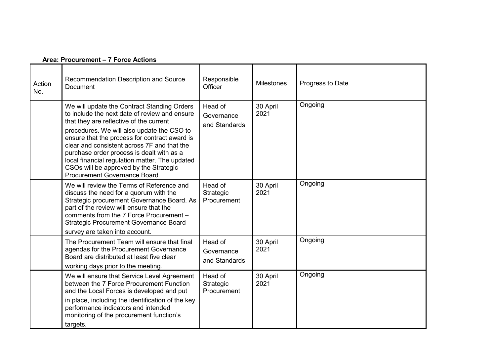| Action<br>No. | Recommendation Description and Source<br><b>Document</b>                                                                                                                                                                                                                                                                                                                                                                                                        | Responsible<br>Officer                 | <b>Milestones</b> | Progress to Date |
|---------------|-----------------------------------------------------------------------------------------------------------------------------------------------------------------------------------------------------------------------------------------------------------------------------------------------------------------------------------------------------------------------------------------------------------------------------------------------------------------|----------------------------------------|-------------------|------------------|
|               | We will update the Contract Standing Orders<br>to include the next date of review and ensure<br>that they are reflective of the current<br>procedures. We will also update the CSO to<br>ensure that the process for contract award is<br>clear and consistent across 7F and that the<br>purchase order process is dealt with as a<br>local financial regulation matter. The updated<br>CSOs will be approved by the Strategic<br>Procurement Governance Board. | Head of<br>Governance<br>and Standards | 30 April<br>2021  | Ongoing          |
|               | We will review the Terms of Reference and<br>discuss the need for a quorum with the<br>Strategic procurement Governance Board. As<br>part of the review will ensure that the<br>comments from the 7 Force Procurement -<br><b>Strategic Procurement Governance Board</b><br>survey are taken into account.                                                                                                                                                      | Head of<br>Strategic<br>Procurement    | 30 April<br>2021  | Ongoing          |
|               | The Procurement Team will ensure that final<br>agendas for the Procurement Governance<br>Board are distributed at least five clear<br>working days prior to the meeting.                                                                                                                                                                                                                                                                                        | Head of<br>Governance<br>and Standards | 30 April<br>2021  | Ongoing          |
|               | We will ensure that Service Level Agreement<br>between the 7 Force Procurement Function<br>and the Local Forces is developed and put<br>in place, including the identification of the key<br>performance indicators and intended<br>monitoring of the procurement function's<br>targets.                                                                                                                                                                        | Head of<br>Strategic<br>Procurement    | 30 April<br>2021  | Ongoing          |

### **Area: Procurement – 7 Force Actions**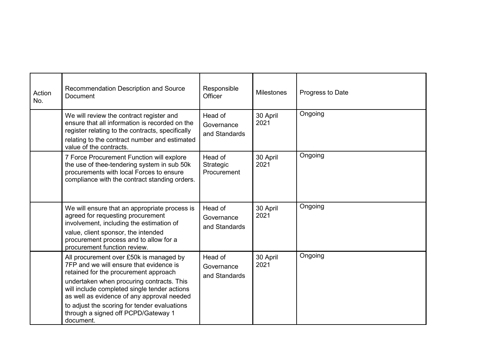| Action<br>No. | Recommendation Description and Source<br><b>Document</b>                                                                                                                                                                                                                                                                                                                   | Responsible<br>Officer                 | <b>Milestones</b> | Progress to Date |
|---------------|----------------------------------------------------------------------------------------------------------------------------------------------------------------------------------------------------------------------------------------------------------------------------------------------------------------------------------------------------------------------------|----------------------------------------|-------------------|------------------|
|               | We will review the contract register and<br>ensure that all information is recorded on the<br>register relating to the contracts, specifically<br>relating to the contract number and estimated<br>value of the contracts.                                                                                                                                                 | Head of<br>Governance<br>and Standards | 30 April<br>2021  | Ongoing          |
|               | 7 Force Procurement Function will explore<br>the use of thee-tendering system in sub 50k<br>procurements with local Forces to ensure<br>compliance with the contract standing orders.                                                                                                                                                                                      | Head of<br>Strategic<br>Procurement    | 30 April<br>2021  | Ongoing          |
|               | We will ensure that an appropriate process is<br>agreed for requesting procurement<br>involvement, including the estimation of<br>value, client sponsor, the intended<br>procurement process and to allow for a<br>procurement function review.                                                                                                                            | Head of<br>Governance<br>and Standards | 30 April<br>2021  | Ongoing          |
|               | All procurement over £50k is managed by<br>7FP and we will ensure that evidence is<br>retained for the procurement approach<br>undertaken when procuring contracts. This<br>will include completed single tender actions<br>as well as evidence of any approval needed<br>to adjust the scoring for tender evaluations<br>through a signed off PCPD/Gateway 1<br>document. | Head of<br>Governance<br>and Standards | 30 April<br>2021  | Ongoing          |